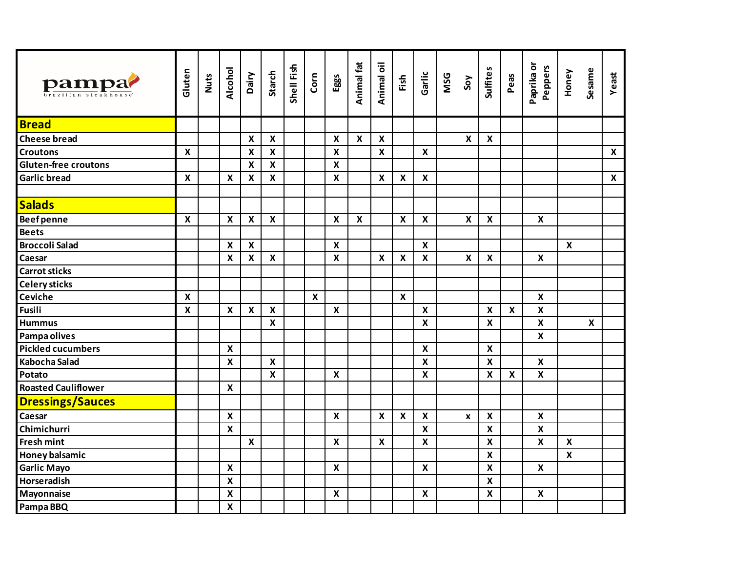| pampa?<br>orazilian steakhous | Gluten                    | <b>Nuts</b> | Alcohol                   | Dairy                     | Starch                    | Shell Fish | $_{\rm Com}$     | Eggs                      | Animal fat                | Animal oil                | Fish                      | Garlic                    | <b>MSG</b> | Soy                       | Sulfites                  | Peas                      | Paprika or<br>Peppers     | Honey                     | Sesame                    | Yeast            |
|-------------------------------|---------------------------|-------------|---------------------------|---------------------------|---------------------------|------------|------------------|---------------------------|---------------------------|---------------------------|---------------------------|---------------------------|------------|---------------------------|---------------------------|---------------------------|---------------------------|---------------------------|---------------------------|------------------|
| <b>Bread</b>                  |                           |             |                           |                           |                           |            |                  |                           |                           |                           |                           |                           |            |                           |                           |                           |                           |                           |                           |                  |
| <b>Cheese bread</b>           |                           |             |                           | $\boldsymbol{\mathsf{X}}$ | $\boldsymbol{\mathsf{X}}$ |            |                  | $\boldsymbol{\mathsf{X}}$ | $\boldsymbol{\mathsf{x}}$ | $\boldsymbol{\mathsf{X}}$ |                           |                           |            | $\boldsymbol{\mathsf{x}}$ | $\boldsymbol{\mathsf{X}}$ |                           |                           |                           |                           |                  |
| <b>Croutons</b>               | $\boldsymbol{\mathsf{X}}$ |             |                           | $\boldsymbol{\mathsf{x}}$ | $\pmb{\mathsf{X}}$        |            |                  | $\boldsymbol{\mathsf{x}}$ |                           | $\boldsymbol{\mathsf{X}}$ |                           | $\boldsymbol{\mathsf{X}}$ |            |                           |                           |                           |                           |                           |                           | $\mathsf{X}$     |
| <b>Gluten-free croutons</b>   |                           |             |                           | $\boldsymbol{\mathsf{X}}$ | $\boldsymbol{\mathsf{x}}$ |            |                  | $\boldsymbol{\mathsf{x}}$ |                           |                           |                           |                           |            |                           |                           |                           |                           |                           |                           |                  |
| <b>Garlic bread</b>           | $\boldsymbol{\mathsf{X}}$ |             | $\boldsymbol{\mathsf{x}}$ | $\boldsymbol{\mathsf{x}}$ | $\boldsymbol{\mathsf{x}}$ |            |                  | $\boldsymbol{\mathsf{X}}$ |                           | $\boldsymbol{\mathsf{x}}$ | $\boldsymbol{\mathsf{x}}$ | $\boldsymbol{\mathsf{X}}$ |            |                           |                           |                           |                           |                           |                           | $\boldsymbol{X}$ |
| <b>Salads</b>                 |                           |             |                           |                           |                           |            |                  |                           |                           |                           |                           |                           |            |                           |                           |                           |                           |                           |                           |                  |
| <b>Beefpenne</b>              | $\boldsymbol{\mathsf{X}}$ |             | $\boldsymbol{X}$          | $\boldsymbol{\mathsf{X}}$ | $\boldsymbol{X}$          |            |                  | $\boldsymbol{\mathsf{X}}$ | $\boldsymbol{\mathsf{X}}$ |                           | $\boldsymbol{\mathsf{X}}$ | $\boldsymbol{X}$          |            | $\boldsymbol{x}$          | X                         |                           | X                         |                           |                           |                  |
| <b>Beets</b>                  |                           |             |                           |                           |                           |            |                  |                           |                           |                           |                           |                           |            |                           |                           |                           |                           |                           |                           |                  |
| <b>Broccoli Salad</b>         |                           |             | $\boldsymbol{x}$          | $\mathsf{x}$              |                           |            |                  | $\boldsymbol{\mathsf{X}}$ |                           |                           |                           | $\mathbf x$               |            |                           |                           |                           |                           | $\boldsymbol{X}$          |                           |                  |
| Caesar                        |                           |             | $\boldsymbol{\mathsf{X}}$ | $\boldsymbol{\mathsf{x}}$ | $\boldsymbol{\mathsf{x}}$ |            |                  | $\boldsymbol{\mathsf{X}}$ |                           | $\boldsymbol{\mathsf{x}}$ | $\boldsymbol{\mathsf{X}}$ | $\boldsymbol{x}$          |            | $\boldsymbol{x}$          | $\boldsymbol{\mathsf{x}}$ |                           | $\boldsymbol{x}$          |                           |                           |                  |
| <b>Carrot sticks</b>          |                           |             |                           |                           |                           |            |                  |                           |                           |                           |                           |                           |            |                           |                           |                           |                           |                           |                           |                  |
| <b>Celery sticks</b>          |                           |             |                           |                           |                           |            |                  |                           |                           |                           |                           |                           |            |                           |                           |                           |                           |                           |                           |                  |
| <b>Ceviche</b>                | $\boldsymbol{\mathsf{X}}$ |             |                           |                           |                           |            | $\boldsymbol{X}$ |                           |                           |                           | $\boldsymbol{\mathsf{X}}$ |                           |            |                           |                           |                           | $\boldsymbol{\mathsf{X}}$ |                           |                           |                  |
| <b>Fusili</b>                 | $\boldsymbol{\mathsf{x}}$ |             | $\boldsymbol{\mathsf{X}}$ | $\pmb{\mathsf{X}}$        | $\boldsymbol{\mathsf{x}}$ |            |                  | $\boldsymbol{\mathsf{X}}$ |                           |                           |                           | $\boldsymbol{\mathsf{x}}$ |            |                           | $\boldsymbol{\mathsf{X}}$ | $\boldsymbol{\mathsf{x}}$ | $\mathsf{X}$              |                           |                           |                  |
| <b>Hummus</b>                 |                           |             |                           |                           | $\mathbf x$               |            |                  |                           |                           |                           |                           | $\overline{\mathbf{x}}$   |            |                           | $\boldsymbol{\mathsf{x}}$ |                           | $\overline{\mathbf{x}}$   |                           | $\boldsymbol{\mathsf{x}}$ |                  |
| Pampa olives                  |                           |             |                           |                           |                           |            |                  |                           |                           |                           |                           |                           |            |                           |                           |                           | $\boldsymbol{\mathsf{X}}$ |                           |                           |                  |
| <b>Pickled cucumbers</b>      |                           |             | $\boldsymbol{\mathsf{x}}$ |                           |                           |            |                  |                           |                           |                           |                           | $\boldsymbol{\mathsf{x}}$ |            |                           | $\boldsymbol{\mathsf{X}}$ |                           |                           |                           |                           |                  |
| <b>Kabocha Salad</b>          |                           |             | $\boldsymbol{\mathsf{X}}$ |                           | $\boldsymbol{\mathsf{X}}$ |            |                  |                           |                           |                           |                           | $\boldsymbol{\mathsf{x}}$ |            |                           | $\boldsymbol{\mathsf{X}}$ |                           | $\boldsymbol{\mathsf{X}}$ |                           |                           |                  |
| Potato                        |                           |             |                           |                           | $\boldsymbol{\mathsf{x}}$ |            |                  | $\boldsymbol{\mathsf{X}}$ |                           |                           |                           | $\boldsymbol{X}$          |            |                           | $\boldsymbol{\mathsf{X}}$ | $\mathbf x$               | $\boldsymbol{x}$          |                           |                           |                  |
| <b>Roasted Cauliflower</b>    |                           |             | $\boldsymbol{X}$          |                           |                           |            |                  |                           |                           |                           |                           |                           |            |                           |                           |                           |                           |                           |                           |                  |
| <b>Dressings/Sauces</b>       |                           |             |                           |                           |                           |            |                  |                           |                           |                           |                           |                           |            |                           |                           |                           |                           |                           |                           |                  |
| Caesar                        |                           |             | $\pmb{\mathsf{X}}$        |                           |                           |            |                  | $\boldsymbol{x}$          |                           | $\boldsymbol{\mathsf{X}}$ | $\boldsymbol{\mathsf{X}}$ | $\pmb{\mathsf{X}}$        |            | $\mathbf{x}$              | $\boldsymbol{\mathsf{X}}$ |                           | $\boldsymbol{x}$          |                           |                           |                  |
| Chimichurri                   |                           |             | $\boldsymbol{x}$          |                           |                           |            |                  |                           |                           |                           |                           | $\mathbf x$               |            |                           | $\boldsymbol{\mathsf{X}}$ |                           | $\boldsymbol{x}$          |                           |                           |                  |
| <b>Fresh mint</b>             |                           |             |                           | $\boldsymbol{\mathsf{X}}$ |                           |            |                  | $\boldsymbol{\mathsf{X}}$ |                           | $\pmb{\mathsf{X}}$        |                           | $\overline{\mathbf{x}}$   |            |                           | $\pmb{\mathsf{X}}$        |                           | $\overline{\mathbf{x}}$   | $\boldsymbol{\mathsf{X}}$ |                           |                  |
| Honey balsamic                |                           |             |                           |                           |                           |            |                  |                           |                           |                           |                           |                           |            |                           | $\boldsymbol{\mathsf{X}}$ |                           |                           | $\boldsymbol{\mathsf{x}}$ |                           |                  |
| <b>Garlic Mayo</b>            |                           |             | $\boldsymbol{\mathsf{X}}$ |                           |                           |            |                  | $\boldsymbol{\mathsf{X}}$ |                           |                           |                           | $\boldsymbol{\mathsf{x}}$ |            |                           | $\boldsymbol{\mathsf{X}}$ |                           | $\boldsymbol{\mathsf{X}}$ |                           |                           |                  |
| Horseradish                   |                           |             | $\pmb{\mathsf{X}}$        |                           |                           |            |                  |                           |                           |                           |                           |                           |            |                           | $\boldsymbol{\mathsf{X}}$ |                           |                           |                           |                           |                  |
| Mayonnaise                    |                           |             | $\boldsymbol{\mathsf{x}}$ |                           |                           |            |                  | $\boldsymbol{\mathsf{X}}$ |                           |                           |                           | $\boldsymbol{\mathsf{X}}$ |            |                           | $\mathbf{x}$              |                           | $\boldsymbol{\mathsf{x}}$ |                           |                           |                  |
| Pampa BBQ                     |                           |             | $\pmb{\mathsf{X}}$        |                           |                           |            |                  |                           |                           |                           |                           |                           |            |                           |                           |                           |                           |                           |                           |                  |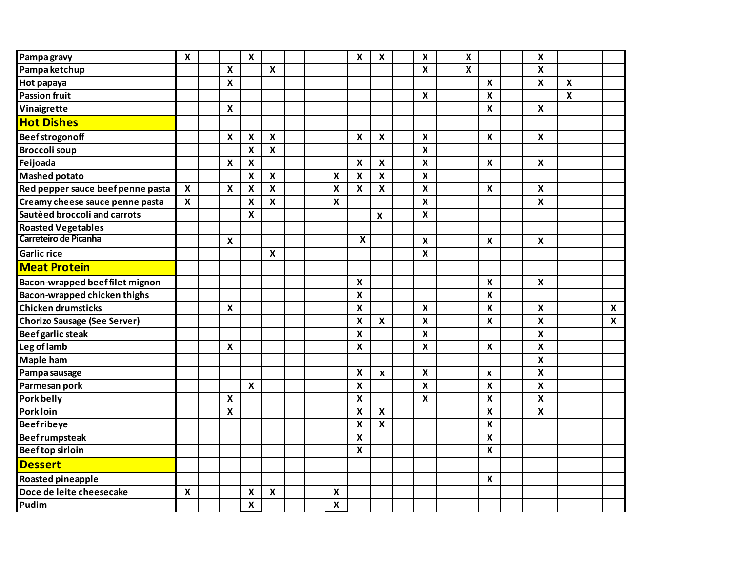| Pampa gravy                         | $\pmb{\mathsf{X}}$        |                           | $\boldsymbol{\mathsf{x}}$ |                           |  |                           | $\pmb{\chi}$              | $\boldsymbol{\mathsf{x}}$ | $\boldsymbol{\mathsf{x}}$ | $\boldsymbol{\mathsf{x}}$ |                           | $\boldsymbol{\mathsf{x}}$ |                           |                  |
|-------------------------------------|---------------------------|---------------------------|---------------------------|---------------------------|--|---------------------------|---------------------------|---------------------------|---------------------------|---------------------------|---------------------------|---------------------------|---------------------------|------------------|
| Pampa ketchup                       |                           | $\boldsymbol{\mathsf{X}}$ |                           | $\boldsymbol{\mathsf{X}}$ |  |                           |                           |                           | $\boldsymbol{\mathsf{X}}$ | $\boldsymbol{\mathsf{X}}$ |                           | $\boldsymbol{\mathsf{x}}$ |                           |                  |
| Hot papaya                          |                           | $\boldsymbol{\mathsf{X}}$ |                           |                           |  |                           |                           |                           |                           |                           | $\boldsymbol{\mathsf{x}}$ | $\boldsymbol{\mathsf{x}}$ | $\boldsymbol{\mathsf{x}}$ |                  |
| <b>Passion fruit</b>                |                           |                           |                           |                           |  |                           |                           |                           | $\boldsymbol{\mathsf{x}}$ |                           | $\boldsymbol{\mathsf{x}}$ |                           | $\boldsymbol{\mathsf{x}}$ |                  |
| Vinaigrette                         |                           | $\boldsymbol{\mathsf{x}}$ |                           |                           |  |                           |                           |                           |                           |                           | $\boldsymbol{\mathsf{x}}$ | $\boldsymbol{\mathsf{x}}$ |                           |                  |
| <b>Hot Dishes</b>                   |                           |                           |                           |                           |  |                           |                           |                           |                           |                           |                           |                           |                           |                  |
| <b>Beefstrogonoff</b>               |                           | $\boldsymbol{\mathsf{X}}$ | $\boldsymbol{\mathsf{X}}$ | $\boldsymbol{\mathsf{X}}$ |  |                           | $\boldsymbol{\mathsf{X}}$ | $\boldsymbol{\mathsf{X}}$ | $\boldsymbol{\mathsf{X}}$ |                           | $\boldsymbol{\mathsf{X}}$ | $\boldsymbol{\mathsf{X}}$ |                           |                  |
| <b>Broccoli soup</b>                |                           |                           | $\boldsymbol{\mathsf{X}}$ | $\boldsymbol{\mathsf{X}}$ |  |                           |                           |                           | $\boldsymbol{\mathsf{x}}$ |                           |                           |                           |                           |                  |
| Feijoada                            |                           | $\boldsymbol{\mathsf{X}}$ | $\boldsymbol{\mathsf{X}}$ |                           |  |                           | $\pmb{\chi}$              | X                         | $\boldsymbol{\mathsf{X}}$ |                           | $\boldsymbol{\mathsf{X}}$ | $\boldsymbol{\mathsf{X}}$ |                           |                  |
| <b>Mashed potato</b>                |                           |                           | $\boldsymbol{\mathsf{x}}$ | $\boldsymbol{\mathsf{x}}$ |  | $\boldsymbol{\mathsf{x}}$ | $\pmb{\mathsf{X}}$        | $\boldsymbol{\mathsf{x}}$ | $\overline{\mathbf{x}}$   |                           |                           |                           |                           |                  |
| Red pepper sauce beef penne pasta   | $\boldsymbol{\mathsf{X}}$ | $\boldsymbol{\mathsf{x}}$ | $\boldsymbol{\mathsf{x}}$ | $\boldsymbol{\mathsf{x}}$ |  | $\pmb{\mathsf{X}}$        | $\pmb{\mathsf{X}}$        | $\boldsymbol{\mathsf{x}}$ | $\boldsymbol{\mathsf{x}}$ |                           | $\boldsymbol{\mathsf{x}}$ | $\boldsymbol{\mathsf{x}}$ |                           |                  |
| Creamy cheese sauce penne pasta     | $\mathbf x$               |                           | $\boldsymbol{\mathsf{x}}$ | $\boldsymbol{\mathsf{x}}$ |  | $\boldsymbol{\mathsf{x}}$ |                           |                           | $\boldsymbol{\mathsf{x}}$ |                           |                           | $\pmb{\times}$            |                           |                  |
| Sautèed broccoli and carrots        |                           |                           | $\boldsymbol{\mathsf{x}}$ |                           |  |                           |                           | $\pmb{\mathsf{X}}$        | $\boldsymbol{\mathsf{x}}$ |                           |                           |                           |                           |                  |
| <b>Roasted Vegetables</b>           |                           |                           |                           |                           |  |                           |                           |                           |                           |                           |                           |                           |                           |                  |
| Carreteiro de Picanha               |                           | $\boldsymbol{\mathsf{X}}$ |                           |                           |  |                           | $\overline{\mathbf{X}}$   |                           | $\boldsymbol{\mathsf{x}}$ |                           | $\boldsymbol{x}$          | $\boldsymbol{x}$          |                           |                  |
| <b>Garlic rice</b>                  |                           |                           |                           | $\boldsymbol{\mathsf{x}}$ |  |                           |                           |                           | $\overline{\mathbf{x}}$   |                           |                           |                           |                           |                  |
| <b>Meat Protein</b>                 |                           |                           |                           |                           |  |                           |                           |                           |                           |                           |                           |                           |                           |                  |
| Bacon-wrapped beeffilet mignon      |                           |                           |                           |                           |  |                           | $\pmb{\mathsf{X}}$        |                           |                           |                           | $\boldsymbol{\mathsf{x}}$ | $\boldsymbol{\mathsf{X}}$ |                           |                  |
| Bacon-wrapped chicken thighs        |                           |                           |                           |                           |  |                           | $\mathbf x$               |                           |                           |                           | $\boldsymbol{\mathsf{x}}$ |                           |                           |                  |
| <b>Chicken drumsticks</b>           |                           | $\boldsymbol{\mathsf{X}}$ |                           |                           |  |                           | $\boldsymbol{\mathsf{x}}$ |                           | $\boldsymbol{\mathsf{x}}$ |                           | $\boldsymbol{\mathsf{x}}$ | $\boldsymbol{x}$          |                           | X                |
| <b>Chorizo Sausage (See Server)</b> |                           |                           |                           |                           |  |                           | $\boldsymbol{\mathsf{x}}$ | $\boldsymbol{\mathsf{X}}$ | $\boldsymbol{\mathsf{x}}$ |                           | $\boldsymbol{x}$          | $\boldsymbol{\mathsf{x}}$ |                           | $\boldsymbol{x}$ |
| Beef garlic steak                   |                           |                           |                           |                           |  |                           | $\overline{\mathbf{x}}$   |                           | $\overline{\mathbf{x}}$   |                           |                           | $\overline{\mathbf{x}}$   |                           |                  |
| Leg of lamb                         |                           | $\boldsymbol{\mathsf{x}}$ |                           |                           |  |                           | $\boldsymbol{\mathsf{X}}$ |                           | $\boldsymbol{\mathsf{x}}$ |                           | $\boldsymbol{\mathsf{X}}$ | $\boldsymbol{\mathsf{X}}$ |                           |                  |
| <b>Maple ham</b>                    |                           |                           |                           |                           |  |                           |                           |                           |                           |                           |                           | $\pmb{\mathsf{X}}$        |                           |                  |
| Pampa sausage                       |                           |                           |                           |                           |  |                           | $\pmb{\mathsf{X}}$        | $\pmb{\mathsf{x}}$        | $\boldsymbol{\mathsf{X}}$ |                           | $\pmb{\mathsf{x}}$        | $\boldsymbol{\mathsf{x}}$ |                           |                  |
| Parmesan pork                       |                           |                           | $\boldsymbol{\mathsf{X}}$ |                           |  |                           | $\boldsymbol{\mathsf{x}}$ |                           | $\boldsymbol{\mathsf{X}}$ |                           | $\pmb{\mathsf{X}}$        | $\boldsymbol{\mathsf{X}}$ |                           |                  |
| Pork belly                          |                           | $\boldsymbol{\mathsf{X}}$ |                           |                           |  |                           | $\boldsymbol{\mathsf{x}}$ |                           | $\boldsymbol{\mathsf{x}}$ |                           | $\boldsymbol{\mathsf{x}}$ | $\boldsymbol{\mathsf{x}}$ |                           |                  |
| <b>Pork loin</b>                    |                           | $\boldsymbol{x}$          |                           |                           |  |                           | $\pmb{\mathsf{X}}$        | $\boldsymbol{\mathsf{x}}$ |                           |                           | $\boldsymbol{\mathsf{x}}$ | $\boldsymbol{\mathsf{x}}$ |                           |                  |
| <b>Beefribeye</b>                   |                           |                           |                           |                           |  |                           | $\pmb{\mathsf{X}}$        | $\boldsymbol{\mathsf{x}}$ |                           |                           | $\boldsymbol{\mathsf{x}}$ |                           |                           |                  |
| <b>Beefrumpsteak</b>                |                           |                           |                           |                           |  |                           | $\boldsymbol{\mathsf{x}}$ |                           |                           |                           | $\boldsymbol{\mathsf{X}}$ |                           |                           |                  |
| <b>Beeftop sirloin</b>              |                           |                           |                           |                           |  |                           | $\boldsymbol{\mathsf{x}}$ |                           |                           |                           | $\boldsymbol{\mathsf{X}}$ |                           |                           |                  |
| <b>Dessert</b>                      |                           |                           |                           |                           |  |                           |                           |                           |                           |                           |                           |                           |                           |                  |
| Roasted pineapple                   |                           |                           |                           |                           |  |                           |                           |                           |                           |                           | $\boldsymbol{\mathsf{X}}$ |                           |                           |                  |
| Doce de leite cheesecake            | $\boldsymbol{\mathsf{x}}$ |                           | X                         | $\boldsymbol{\mathsf{X}}$ |  | $\boldsymbol{\mathsf{x}}$ |                           |                           |                           |                           |                           |                           |                           |                  |
| Pudim                               |                           |                           | $\boldsymbol{\mathsf{x}}$ |                           |  | $\boldsymbol{\mathsf{x}}$ |                           |                           |                           |                           |                           |                           |                           |                  |